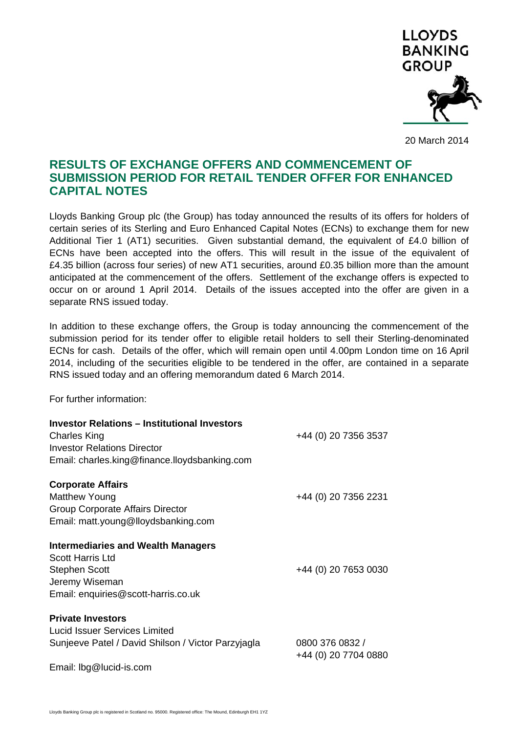

20 March 2014

## **RESULTS OF EXCHANGE OFFERS AND COMMENCEMENT OF SUBMISSION PERIOD FOR RETAIL TENDER OFFER FOR ENHANCED CAPITAL NOTES**

Lloyds Banking Group plc (the Group) has today announced the results of its offers for holders of certain series of its Sterling and Euro Enhanced Capital Notes (ECNs) to exchange them for new Additional Tier 1 (AT1) securities. Given substantial demand, the equivalent of £4.0 billion of ECNs have been accepted into the offers. This will result in the issue of the equivalent of £4.35 billion (across four series) of new AT1 securities, around £0.35 billion more than the amount anticipated at the commencement of the offers. Settlement of the exchange offers is expected to occur on or around 1 April 2014. Details of the issues accepted into the offer are given in a separate RNS issued today.

In addition to these exchange offers, the Group is today announcing the commencement of the submission period for its tender offer to eligible retail holders to sell their Sterling-denominated ECNs for cash. Details of the offer, which will remain open until 4.00pm London time on 16 April 2014, including of the securities eligible to be tendered in the offer, are contained in a separate RNS issued today and an offering memorandum dated 6 March 2014.

For further information:

| <b>Investor Relations - Institutional Investors</b><br><b>Charles King</b><br><b>Investor Relations Director</b><br>Email: charles.king@finance.lloydsbanking.com | +44 (0) 20 7356 3537                    |
|-------------------------------------------------------------------------------------------------------------------------------------------------------------------|-----------------------------------------|
| <b>Corporate Affairs</b><br><b>Matthew Young</b><br>Group Corporate Affairs Director<br>Email: matt.young@lloydsbanking.com                                       | +44 (0) 20 7356 2231                    |
| <b>Intermediaries and Wealth Managers</b><br>Scott Harris Ltd<br><b>Stephen Scott</b><br>Jeremy Wiseman<br>Email: enquiries@scott-harris.co.uk                    | +44 (0) 20 7653 0030                    |
| <b>Private Investors</b><br>Lucid Issuer Services Limited<br>Sunjeeve Patel / David Shilson / Victor Parzyjagla<br>Email: lbg@lucid-is.com                        | 0800 376 0832 /<br>+44 (0) 20 7704 0880 |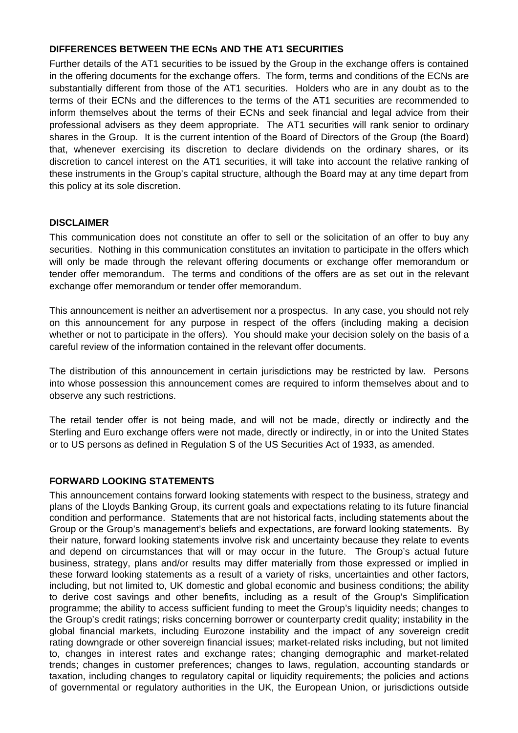## **DIFFERENCES BETWEEN THE ECNs AND THE AT1 SECURITIES**

Further details of the AT1 securities to be issued by the Group in the exchange offers is contained in the offering documents for the exchange offers. The form, terms and conditions of the ECNs are substantially different from those of the AT1 securities. Holders who are in any doubt as to the terms of their ECNs and the differences to the terms of the AT1 securities are recommended to inform themselves about the terms of their ECNs and seek financial and legal advice from their professional advisers as they deem appropriate. The AT1 securities will rank senior to ordinary shares in the Group. It is the current intention of the Board of Directors of the Group (the Board) that, whenever exercising its discretion to declare dividends on the ordinary shares, or its discretion to cancel interest on the AT1 securities, it will take into account the relative ranking of these instruments in the Group's capital structure, although the Board may at any time depart from this policy at its sole discretion.

## **DISCLAIMER**

This communication does not constitute an offer to sell or the solicitation of an offer to buy any securities. Nothing in this communication constitutes an invitation to participate in the offers which will only be made through the relevant offering documents or exchange offer memorandum or tender offer memorandum. The terms and conditions of the offers are as set out in the relevant exchange offer memorandum or tender offer memorandum.

This announcement is neither an advertisement nor a prospectus. In any case, you should not rely on this announcement for any purpose in respect of the offers (including making a decision whether or not to participate in the offers). You should make your decision solely on the basis of a careful review of the information contained in the relevant offer documents.

The distribution of this announcement in certain jurisdictions may be restricted by law. Persons into whose possession this announcement comes are required to inform themselves about and to observe any such restrictions.

The retail tender offer is not being made, and will not be made, directly or indirectly and the Sterling and Euro exchange offers were not made, directly or indirectly, in or into the United States or to US persons as defined in Regulation S of the US Securities Act of 1933, as amended.

## **FORWARD LOOKING STATEMENTS**

This announcement contains forward looking statements with respect to the business, strategy and plans of the Lloyds Banking Group, its current goals and expectations relating to its future financial condition and performance. Statements that are not historical facts, including statements about the Group or the Group's management's beliefs and expectations, are forward looking statements. By their nature, forward looking statements involve risk and uncertainty because they relate to events and depend on circumstances that will or may occur in the future. The Group's actual future business, strategy, plans and/or results may differ materially from those expressed or implied in these forward looking statements as a result of a variety of risks, uncertainties and other factors, including, but not limited to, UK domestic and global economic and business conditions; the ability to derive cost savings and other benefits, including as a result of the Group's Simplification programme; the ability to access sufficient funding to meet the Group's liquidity needs; changes to the Group's credit ratings; risks concerning borrower or counterparty credit quality; instability in the global financial markets, including Eurozone instability and the impact of any sovereign credit rating downgrade or other sovereign financial issues; market-related risks including, but not limited to, changes in interest rates and exchange rates; changing demographic and market-related trends; changes in customer preferences; changes to laws, regulation, accounting standards or taxation, including changes to regulatory capital or liquidity requirements; the policies and actions of governmental or regulatory authorities in the UK, the European Union, or jurisdictions outside